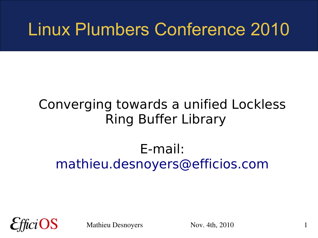#### Linux Plumbers Conference 2010

#### Converging towards a unified Lockless Ring Buffer Library

#### E-mail: [mathieu.desnoyers@efficios.com](mailto:mathieu.desnoyers@efficios.com)



Mathieu Desnoyers Nov. 4th, 2010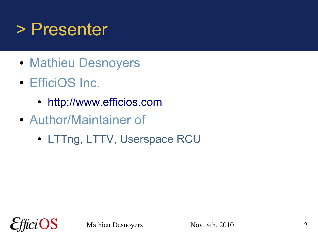#### > Presenter

- Mathieu Desnoyers
- EfficiOS Inc.
	- [http://www.efficios.com](http://www.efficios.com/)
- Author/Maintainer of
	- LTTng, LTTV, Userspace RCU

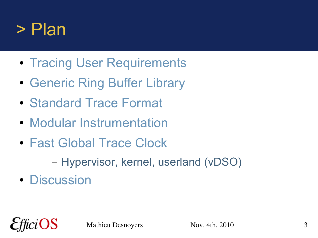#### > Plan

- Tracing User Requirements
- Generic Ring Buffer Library
- Standard Trace Format
- Modular Instrumentation
- Fast Global Trace Clock
	- Hypervisor, kernel, userland (vDSO)
- Discussion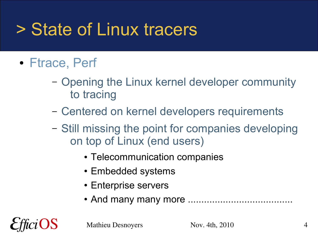## > State of Linux tracers

- Ftrace, Perf
	- Opening the Linux kernel developer community to tracing
	- Centered on kernel developers requirements
	- Still missing the point for companies developing on top of Linux (end users)
		- Telecommunication companies
		- Embedded systems
		- Enterprise servers
		- And many many more .......................................



Mathieu Desnoyers Nov. 4th, 2010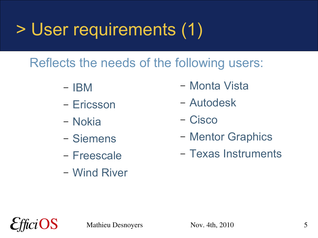## > User requirements (1)

Reflects the needs of the following users:

- IBM
- Ericsson
- Nokia
- Siemens
- Freescale
- Wind River
- Monta Vista
- Autodesk
- Cisco
- Mentor Graphics
- Texas Instruments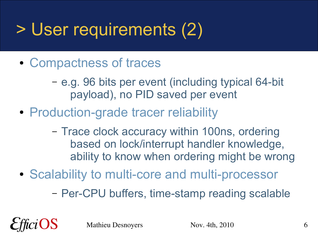## > User requirements (2)

- Compactness of traces
	- e.g. 96 bits per event (including typical 64-bit payload), no PID saved per event
- Production-grade tracer reliability
	- Trace clock accuracy within 100ns, ordering based on lock/interrupt handler knowledge, ability to know when ordering might be wrong
- Scalability to multi-core and multi-processor
	- Per-CPU buffers, time-stamp reading scalable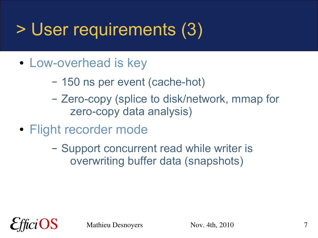## > User requirements (3)

- Low-overhead is key
	- 150 ns per event (cache-hot)
	- Zero-copy (splice to disk/network, mmap for zero-copy data analysis)
- Flight recorder mode
	- Support concurrent read while writer is overwriting buffer data (snapshots)

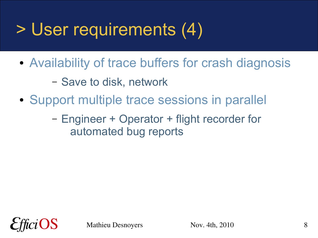## > User requirements (4)

- Availability of trace buffers for crash diagnosis
	- Save to disk, network
- Support multiple trace sessions in parallel
	- Engineer + Operator + flight recorder for automated bug reports

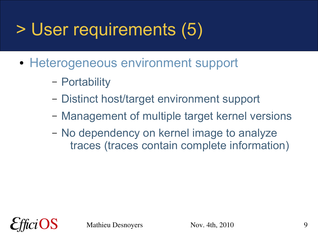## > User requirements (5)

- Heterogeneous environment support
	- Portability
	- Distinct host/target environment support
	- Management of multiple target kernel versions
	- No dependency on kernel image to analyze traces (traces contain complete information)



Mathieu Desnoyers Nov. 4th, 2010 9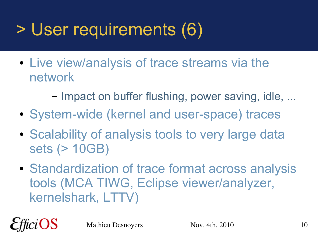## > User requirements (6)

- Live view/analysis of trace streams via the network
	- Impact on buffer flushing, power saving, idle, ...
- System-wide (kernel and user-space) traces
- Scalability of analysis tools to very large data sets (> 10GB)
- Standardization of trace format across analysis tools (MCA TIWG, Eclipse viewer/analyzer, kernelshark, LTTV)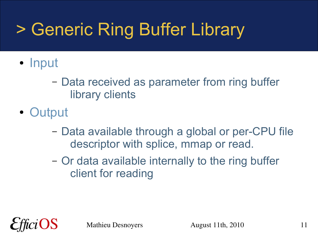# > Generic Ring Buffer Library

- Input
	- Data received as parameter from ring buffer library clients
- Output
	- Data available through a global or per-CPU file descriptor with splice, mmap or read.
	- Or data available internally to the ring buffer client for reading

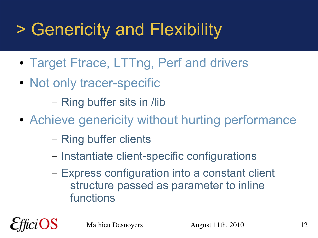# > Genericity and Flexibility

- Target Ftrace, LTTng, Perf and drivers
- Not only tracer-specific

– Ring buffer sits in /lib

- Achieve genericity without hurting performance
	- Ring buffer clients
	- Instantiate client-specific configurations
	- Express configuration into a constant client structure passed as parameter to inline functions

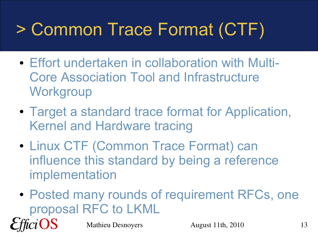# > Common Trace Format (CTF)

- Effort undertaken in collaboration with Multi-Core Association Tool and Infrastructure **Workgroup**
- Target a standard trace format for Application, Kernel and Hardware tracing
- Linux CTF (Common Trace Format) can influence this standard by being a reference implementation
- Posted many rounds of requirement RFCs, one proposal RFC to LKML



Mathieu Desnoyers August 11th, 2010 13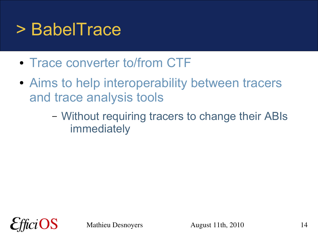#### > BabelTrace

- Trace converter to/from CTF
- Aims to help interoperability between tracers and trace analysis tools
	- Without requiring tracers to change their ABIs immediately

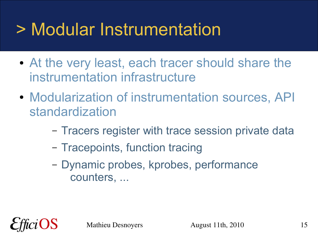#### > Modular Instrumentation

- At the very least, each tracer should share the instrumentation infrastructure
- Modularization of instrumentation sources, API standardization
	- Tracers register with trace session private data
	- Tracepoints, function tracing
	- Dynamic probes, kprobes, performance counters, ...

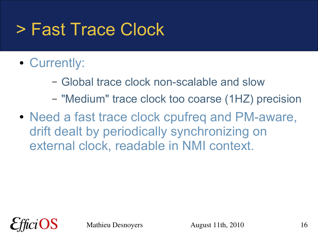## > Fast Trace Clock

- Currently:
	- Global trace clock non-scalable and slow
	- "Medium" trace clock too coarse (1HZ) precision
- Need a fast trace clock cpufreq and PM-aware, drift dealt by periodically synchronizing on external clock, readable in NMI context.

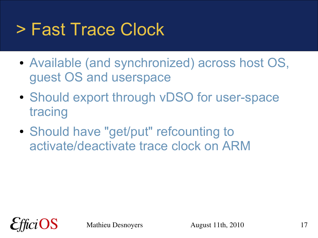## > Fast Trace Clock

- Available (and synchronized) across host OS, guest OS and userspace
- Should export through vDSO for user-space tracing
- Should have "get/put" refcounting to activate/deactivate trace clock on ARM